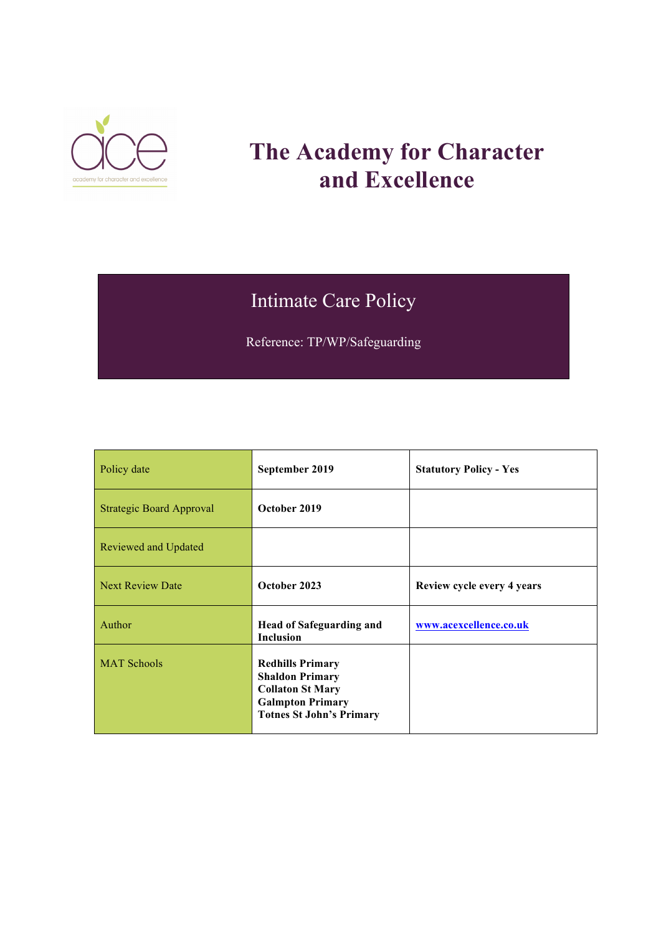

# **The Academy for Character and Excellence**

## Intimate Care Policy

Reference: TP/WP/Safeguarding

| Policy date                     | September 2019                                                                                                                             | <b>Statutory Policy - Yes</b> |
|---------------------------------|--------------------------------------------------------------------------------------------------------------------------------------------|-------------------------------|
| <b>Strategic Board Approval</b> | October 2019                                                                                                                               |                               |
| Reviewed and Updated            |                                                                                                                                            |                               |
| <b>Next Review Date</b>         | October 2023                                                                                                                               | Review cycle every 4 years    |
| Author                          | <b>Head of Safeguarding and</b><br><b>Inclusion</b>                                                                                        | www.acexcellence.co.uk        |
| <b>MAT Schools</b>              | <b>Redhills Primary</b><br><b>Shaldon Primary</b><br><b>Collaton St Mary</b><br><b>Galmpton Primary</b><br><b>Totnes St John's Primary</b> |                               |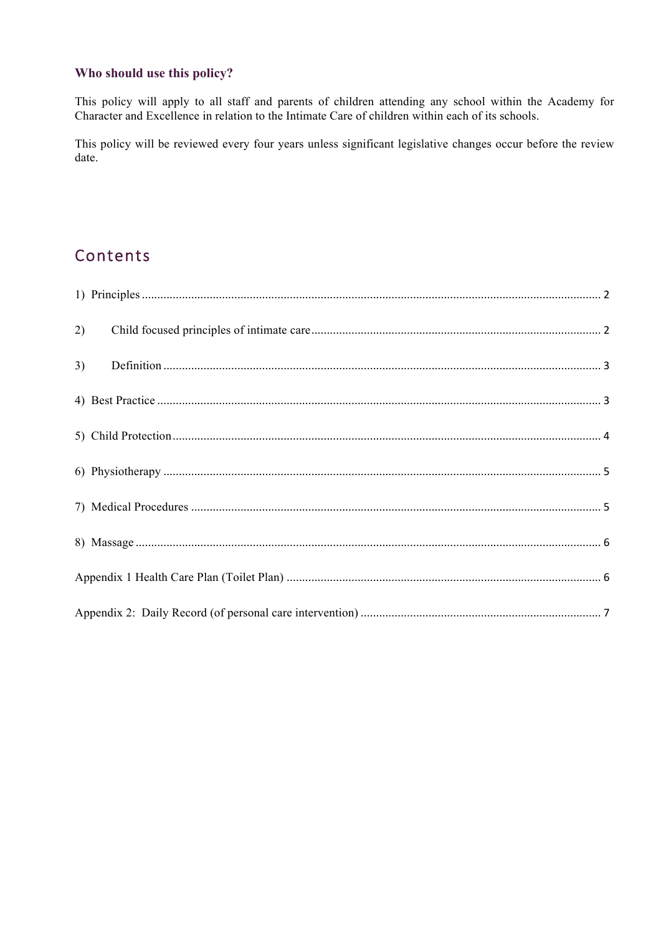#### Who should use this policy?

This policy will apply to all staff and parents of children attending any school within the Academy for Character and Excellence in relation to the Intimate Care of children within each of its schools.

This policy will be reviewed every four years unless significant legislative changes occur before the review date.

### Contents

| 2) |  |
|----|--|
| 3) |  |
|    |  |
|    |  |
|    |  |
|    |  |
|    |  |
|    |  |
|    |  |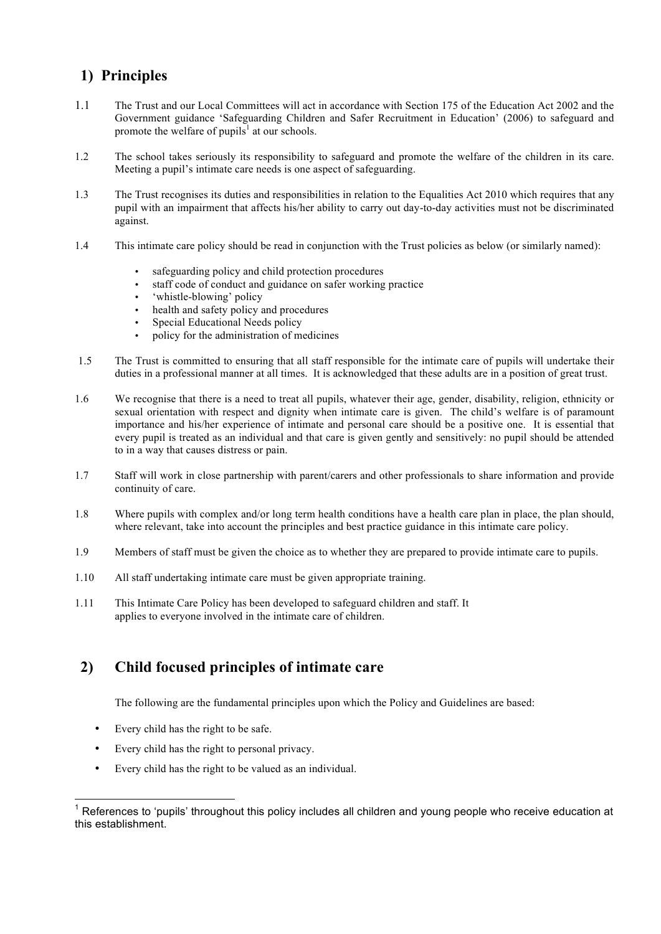#### <span id="page-2-0"></span>**1) Principles**

- 1.1 The Trust and our Local Committees will act in accordance with Section 175 of the Education Act 2002 and the Government guidance 'Safeguarding Children and Safer Recruitment in Education' (2006) to safeguard and promote the welfare of pupils<sup>1</sup> at our schools.
- 1.2 The school takes seriously its responsibility to safeguard and promote the welfare of the children in its care. Meeting a pupil's intimate care needs is one aspect of safeguarding.
- 1.3 The Trust recognises its duties and responsibilities in relation to the Equalities Act 2010 which requires that any pupil with an impairment that affects his/her ability to carry out day-to-day activities must not be discriminated against.
- 1.4 This intimate care policy should be read in conjunction with the Trust policies as below (or similarly named):
	- safeguarding policy and child protection procedures
	- staff code of conduct and guidance on safer working practice
	- 'whistle-blowing' policy
	- health and safety policy and procedures
	- Special Educational Needs policy
	- policy for the administration of medicines
- 1.5 The Trust is committed to ensuring that all staff responsible for the intimate care of pupils will undertake their duties in a professional manner at all times. It is acknowledged that these adults are in a position of great trust.
- 1.6 We recognise that there is a need to treat all pupils, whatever their age, gender, disability, religion, ethnicity or sexual orientation with respect and dignity when intimate care is given. The child's welfare is of paramount importance and his/her experience of intimate and personal care should be a positive one. It is essential that every pupil is treated as an individual and that care is given gently and sensitively: no pupil should be attended to in a way that causes distress or pain.
- 1.7 Staff will work in close partnership with parent/carers and other professionals to share information and provide continuity of care.
- 1.8 Where pupils with complex and/or long term health conditions have a health care plan in place, the plan should, where relevant, take into account the principles and best practice guidance in this intimate care policy.
- 1.9 Members of staff must be given the choice as to whether they are prepared to provide intimate care to pupils.
- 1.10 All staff undertaking intimate care must be given appropriate training.
- 1.11 This Intimate Care Policy has been developed to safeguard children and staff. It applies to everyone involved in the intimate care of children.

#### <span id="page-2-1"></span>**2) Child focused principles of intimate care**

The following are the fundamental principles upon which the Policy and Guidelines are based:

- Every child has the right to be safe.
- Every child has the right to personal privacy.
- Every child has the right to be valued as an individual.

References to 'pupils' throughout this policy includes all children and young people who receive education at this establishment.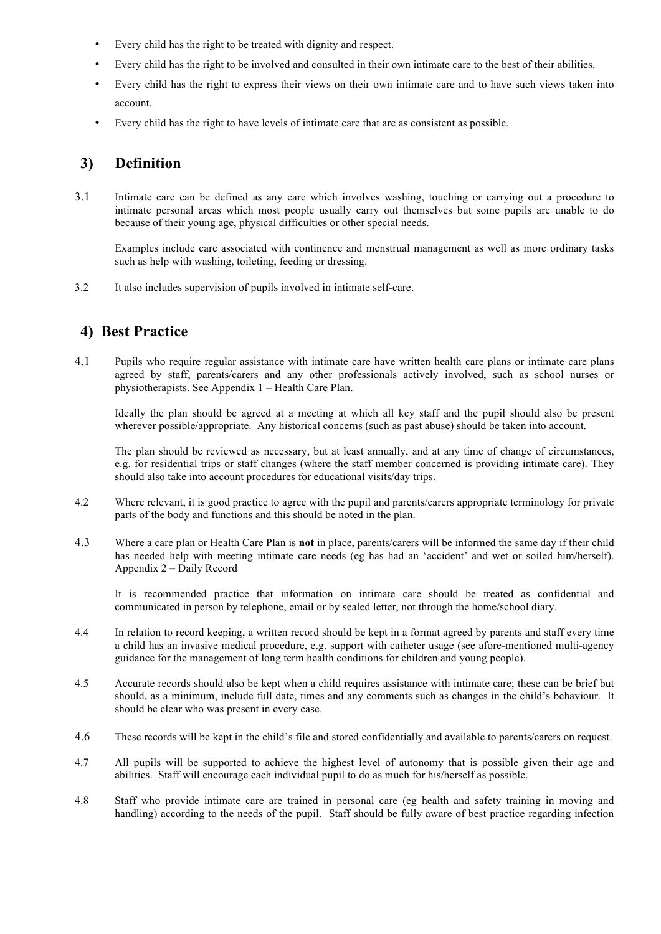- Every child has the right to be treated with dignity and respect.
- Every child has the right to be involved and consulted in their own intimate care to the best of their abilities.
- Every child has the right to express their views on their own intimate care and to have such views taken into account.
- Every child has the right to have levels of intimate care that are as consistent as possible.

#### <span id="page-3-0"></span>**3) Definition**

3.1 Intimate care can be defined as any care which involves washing, touching or carrying out a procedure to intimate personal areas which most people usually carry out themselves but some pupils are unable to do because of their young age, physical difficulties or other special needs.

Examples include care associated with continence and menstrual management as well as more ordinary tasks such as help with washing, toileting, feeding or dressing.

3.2 It also includes supervision of pupils involved in intimate self-care.

#### <span id="page-3-1"></span>**4) Best Practice**

4.1 Pupils who require regular assistance with intimate care have written health care plans or intimate care plans agreed by staff, parents/carers and any other professionals actively involved, such as school nurses or physiotherapists. See Appendix 1 – Health Care Plan.

Ideally the plan should be agreed at a meeting at which all key staff and the pupil should also be present wherever possible/appropriate. Any historical concerns (such as past abuse) should be taken into account.

The plan should be reviewed as necessary, but at least annually, and at any time of change of circumstances, e.g. for residential trips or staff changes (where the staff member concerned is providing intimate care). They should also take into account procedures for educational visits/day trips.

- 4.2 Where relevant, it is good practice to agree with the pupil and parents/carers appropriate terminology for private parts of the body and functions and this should be noted in the plan.
- 4.3 Where a care plan or Health Care Plan is **not** in place, parents/carers will be informed the same day if their child has needed help with meeting intimate care needs (eg has had an 'accident' and wet or soiled him/herself). Appendix 2 – Daily Record

It is recommended practice that information on intimate care should be treated as confidential and communicated in person by telephone, email or by sealed letter, not through the home/school diary.

- 4.4 In relation to record keeping, a written record should be kept in a format agreed by parents and staff every time a child has an invasive medical procedure, e.g. support with catheter usage (see afore-mentioned multi-agency guidance for the management of long term health conditions for children and young people).
- 4.5 Accurate records should also be kept when a child requires assistance with intimate care; these can be brief but should, as a minimum, include full date, times and any comments such as changes in the child's behaviour. It should be clear who was present in every case.
- 4.6 These records will be kept in the child's file and stored confidentially and available to parents/carers on request.
- 4.7 All pupils will be supported to achieve the highest level of autonomy that is possible given their age and abilities. Staff will encourage each individual pupil to do as much for his/herself as possible.
- 4.8 Staff who provide intimate care are trained in personal care (eg health and safety training in moving and handling) according to the needs of the pupil. Staff should be fully aware of best practice regarding infection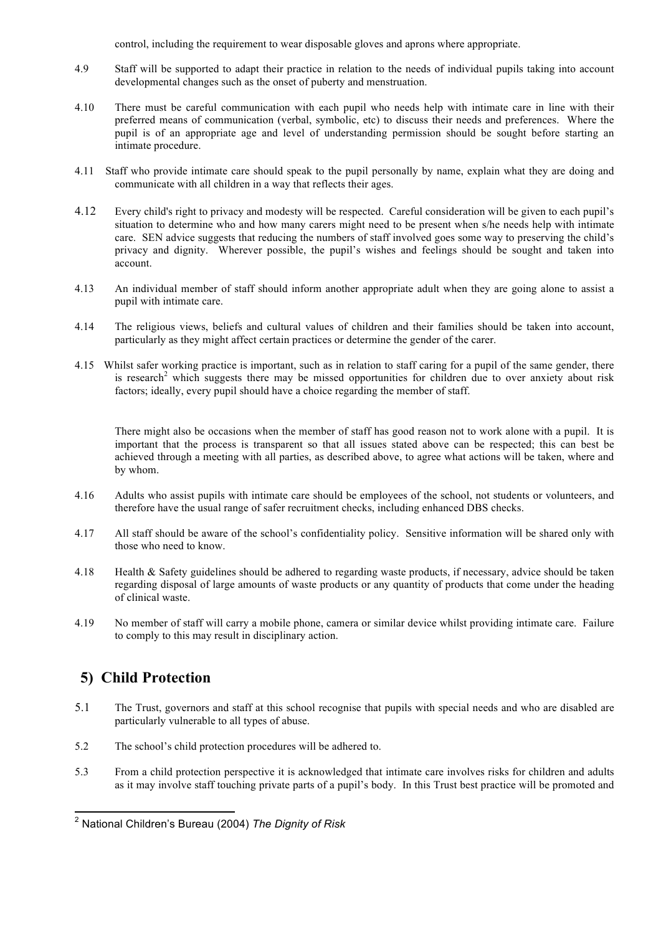control, including the requirement to wear disposable gloves and aprons where appropriate.

- 4.9 Staff will be supported to adapt their practice in relation to the needs of individual pupils taking into account developmental changes such as the onset of puberty and menstruation.
- 4.10 There must be careful communication with each pupil who needs help with intimate care in line with their preferred means of communication (verbal, symbolic, etc) to discuss their needs and preferences. Where the pupil is of an appropriate age and level of understanding permission should be sought before starting an intimate procedure.
- 4.11 Staff who provide intimate care should speak to the pupil personally by name, explain what they are doing and communicate with all children in a way that reflects their ages.
- 4.12 Every child's right to privacy and modesty will be respected. Careful consideration will be given to each pupil's situation to determine who and how many carers might need to be present when s/he needs help with intimate care. SEN advice suggests that reducing the numbers of staff involved goes some way to preserving the child's privacy and dignity. Wherever possible, the pupil's wishes and feelings should be sought and taken into account.
- 4.13 An individual member of staff should inform another appropriate adult when they are going alone to assist a pupil with intimate care.
- 4.14 The religious views, beliefs and cultural values of children and their families should be taken into account, particularly as they might affect certain practices or determine the gender of the carer.
- 4.15 Whilst safer working practice is important, such as in relation to staff caring for a pupil of the same gender, there is research<sup>2</sup> which suggests there may be missed opportunities for children due to over anxiety about risk factors; ideally, every pupil should have a choice regarding the member of staff.

There might also be occasions when the member of staff has good reason not to work alone with a pupil. It is important that the process is transparent so that all issues stated above can be respected; this can best be achieved through a meeting with all parties, as described above, to agree what actions will be taken, where and by whom.

- 4.16 Adults who assist pupils with intimate care should be employees of the school, not students or volunteers, and therefore have the usual range of safer recruitment checks, including enhanced DBS checks.
- 4.17 All staff should be aware of the school's confidentiality policy. Sensitive information will be shared only with those who need to know.
- 4.18 Health & Safety guidelines should be adhered to regarding waste products, if necessary, advice should be taken regarding disposal of large amounts of waste products or any quantity of products that come under the heading of clinical waste.
- 4.19 No member of staff will carry a mobile phone, camera or similar device whilst providing intimate care. Failure to comply to this may result in disciplinary action.

#### <span id="page-4-0"></span>**5) Child Protection**

- 5.1 The Trust, governors and staff at this school recognise that pupils with special needs and who are disabled are particularly vulnerable to all types of abuse.
- 5.2 The school's child protection procedures will be adhered to.
- 5.3 From a child protection perspective it is acknowledged that intimate care involves risks for children and adults as it may involve staff touching private parts of a pupil's body. In this Trust best practice will be promoted and

 <sup>2</sup> National Children's Bureau (2004) *The Dignity of Risk*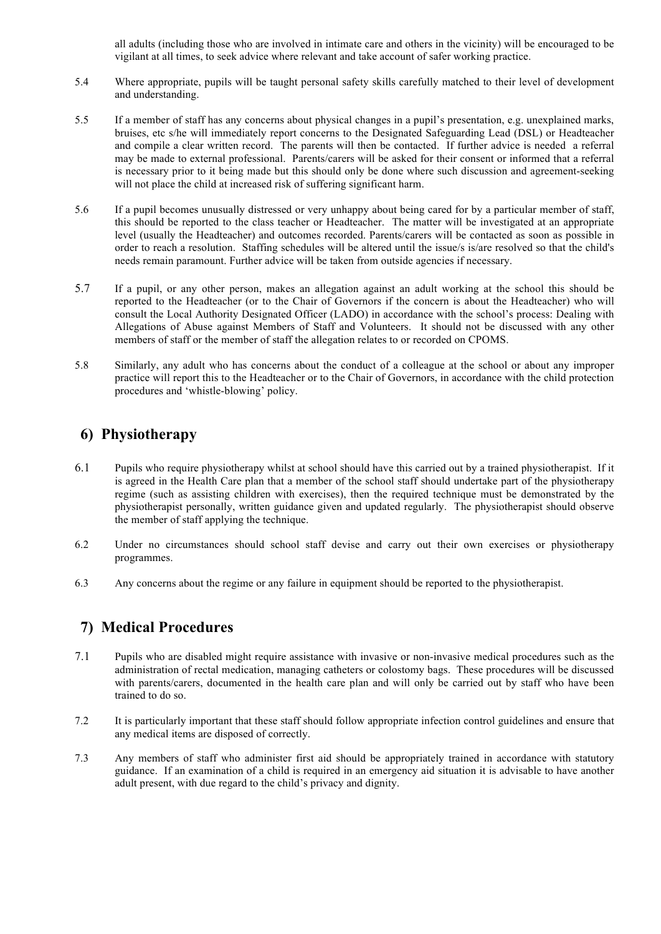all adults (including those who are involved in intimate care and others in the vicinity) will be encouraged to be vigilant at all times, to seek advice where relevant and take account of safer working practice.

- 5.4 Where appropriate, pupils will be taught personal safety skills carefully matched to their level of development and understanding.
- 5.5 If a member of staff has any concerns about physical changes in a pupil's presentation, e.g. unexplained marks, bruises, etc s/he will immediately report concerns to the Designated Safeguarding Lead (DSL) or Headteacher and compile a clear written record. The parents will then be contacted. If further advice is needed a referral may be made to external professional. Parents/carers will be asked for their consent or informed that a referral is necessary prior to it being made but this should only be done where such discussion and agreement-seeking will not place the child at increased risk of suffering significant harm.
- 5.6 If a pupil becomes unusually distressed or very unhappy about being cared for by a particular member of staff, this should be reported to the class teacher or Headteacher. The matter will be investigated at an appropriate level (usually the Headteacher) and outcomes recorded. Parents/carers will be contacted as soon as possible in order to reach a resolution. Staffing schedules will be altered until the issue/s is/are resolved so that the child's needs remain paramount. Further advice will be taken from outside agencies if necessary.
- 5.7 If a pupil, or any other person, makes an allegation against an adult working at the school this should be reported to the Headteacher (or to the Chair of Governors if the concern is about the Headteacher) who will consult the Local Authority Designated Officer (LADO) in accordance with the school's process: Dealing with Allegations of Abuse against Members of Staff and Volunteers. It should not be discussed with any other members of staff or the member of staff the allegation relates to or recorded on CPOMS.
- 5.8 Similarly, any adult who has concerns about the conduct of a colleague at the school or about any improper practice will report this to the Headteacher or to the Chair of Governors, in accordance with the child protection procedures and 'whistle-blowing' policy.

#### <span id="page-5-0"></span>**6) Physiotherapy**

- 6.1 Pupils who require physiotherapy whilst at school should have this carried out by a trained physiotherapist. If it is agreed in the Health Care plan that a member of the school staff should undertake part of the physiotherapy regime (such as assisting children with exercises), then the required technique must be demonstrated by the physiotherapist personally, written guidance given and updated regularly. The physiotherapist should observe the member of staff applying the technique.
- 6.2 Under no circumstances should school staff devise and carry out their own exercises or physiotherapy programmes.
- 6.3 Any concerns about the regime or any failure in equipment should be reported to the physiotherapist.

#### <span id="page-5-1"></span>**7) Medical Procedures**

- 7.1 Pupils who are disabled might require assistance with invasive or non-invasive medical procedures such as the administration of rectal medication, managing catheters or colostomy bags. These procedures will be discussed with parents/carers, documented in the health care plan and will only be carried out by staff who have been trained to do so.
- 7.2 It is particularly important that these staff should follow appropriate infection control guidelines and ensure that any medical items are disposed of correctly.
- 7.3 Any members of staff who administer first aid should be appropriately trained in accordance with statutory guidance. If an examination of a child is required in an emergency aid situation it is advisable to have another adult present, with due regard to the child's privacy and dignity.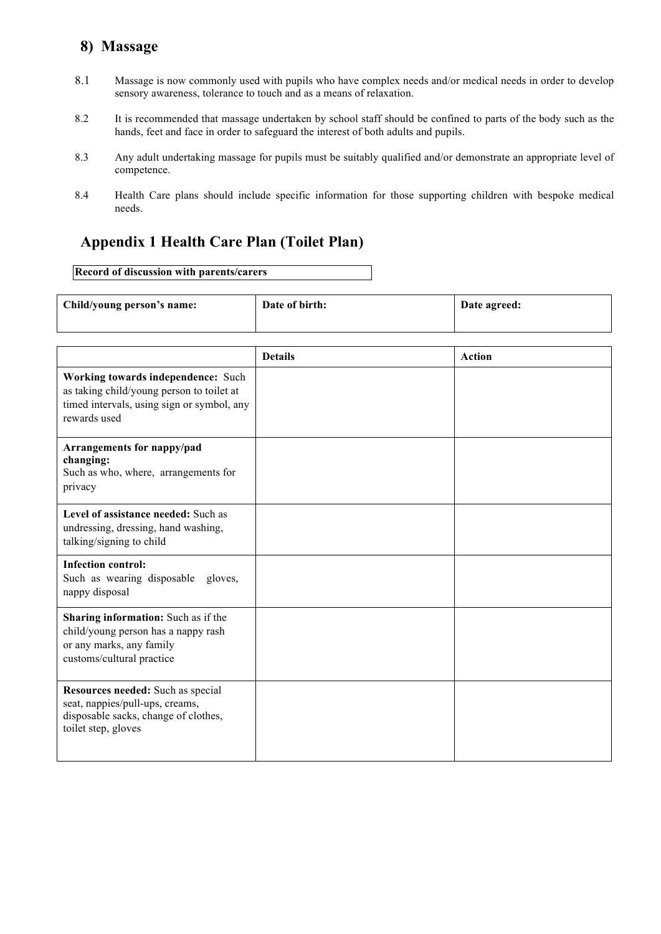#### <span id="page-6-0"></span>**8) Massage**

- 8.1 Massage is now commonly used with pupils who have complex needs and/or medical needs in order to develop sensory awareness, tolerance to touch and as a means of relaxation.
- 8.2 It is recommended that massage undertaken by school staff should be confined to parts of the body such as the hands, feet and face in order to safeguard the interest of both adults and pupils.
- 8.3 Any adult undertaking massage for pupils must be suitably qualified and/or demonstrate an appropriate level of competence.
- 8.4 Health Care plans should include specific information for those supporting children with bespoke medical needs.

#### <span id="page-6-1"></span>**Appendix 1 Health Care Plan (Toilet Plan)**

#### **Record of discussion with parents/carers**

| Child/young person's name:                                                                                                                    | Date of birth: | Date agreed:  |
|-----------------------------------------------------------------------------------------------------------------------------------------------|----------------|---------------|
|                                                                                                                                               |                |               |
|                                                                                                                                               | <b>Details</b> | <b>Action</b> |
| Working towards independence: Such<br>as taking child/young person to toilet at<br>timed intervals, using sign or symbol, any<br>rewards used |                |               |
| Arrangements for nappy/pad<br>changing:<br>Such as who, where, arrangements for<br>privacy                                                    |                |               |
| Level of assistance needed: Such as<br>undressing, dressing, hand washing,<br>talking/signing to child                                        |                |               |
| <b>Infection control:</b><br>Such as wearing disposable gloves,<br>nappy disposal                                                             |                |               |
| Sharing information: Such as if the<br>child/young person has a nappy rash<br>or any marks, any family<br>customs/cultural practice           |                |               |
| Resources needed: Such as special<br>seat, nappies/pull-ups, creams,<br>disposable sacks, change of clothes,<br>toilet step, gloves           |                |               |